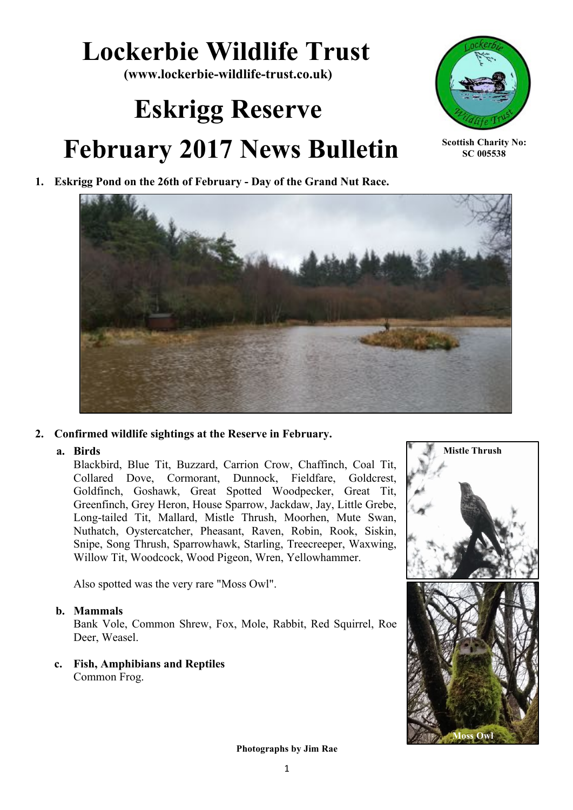## **Lockerbie Wildlife Trust**

**(www.lockerbie-wildlife-trust.co.uk)**

# **Eskrigg Reserve**





**Scottish Charity No: SC 005538**

**1. Eskrigg Pond on the 26th of February - Day of the Grand Nut Race.**



#### **2. Confirmed wildlife sightings at the Reserve in February.**

#### **a. Birds**

Blackbird, Blue Tit, Buzzard, Carrion Crow, Chaffinch, Coal Tit, Collared Dove, Cormorant, Dunnock, Fieldfare, Goldcrest, Goldfinch, Goshawk, Great Spotted Woodpecker, Great Tit, Greenfinch, Grey Heron, House Sparrow, Jackdaw, Jay, Little Grebe, Long-tailed Tit, Mallard, Mistle Thrush, Moorhen, Mute Swan, Nuthatch, Oystercatcher, Pheasant, Raven, Robin, Rook, Siskin, Snipe, Song Thrush, Sparrowhawk, Starling, Treecreeper, Waxwing, Willow Tit, Woodcock, Wood Pigeon, Wren, Yellowhammer.

Also spotted was the very rare "Moss Owl".

#### **b. Mammals**

Bank Vole, Common Shrew, Fox, Mole, Rabbit, Red Squirrel, Roe Deer, Weasel.

**c. Fish, Amphibians and Reptiles**  Common Frog.



 **Photographs by Jim Rae**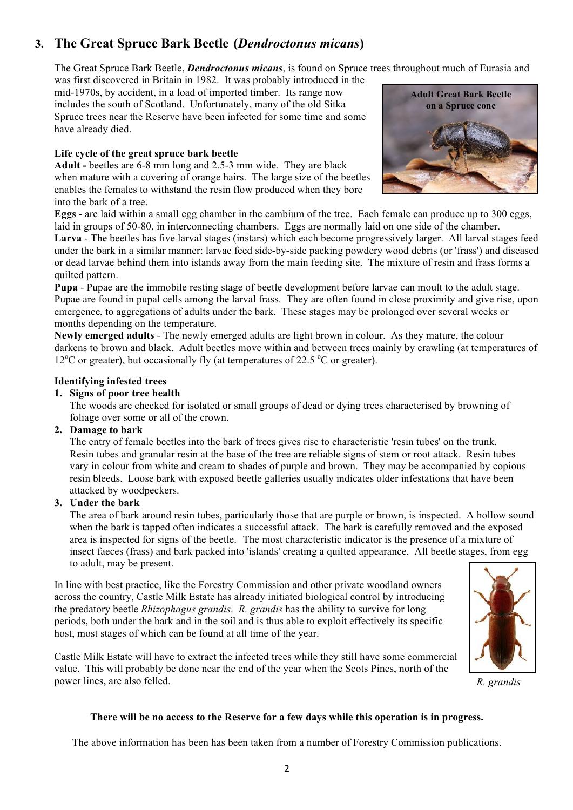### **3. The Great Spruce Bark Beetle (***Dendroctonus micans***)**

The Great Spruce Bark Beetle, *Dendroctonus micans*, is found on Spruce trees throughout much of Eurasia and

was first discovered in Britain in 1982. It was probably introduced in the mid-1970s, by accident, in a load of imported timber. Its range now includes the south of Scotland. Unfortunately, many of the old Sitka Spruce trees near the Reserve have been infected for some time and some have already died.

#### **Life cycle of the great spruce bark beetle**

**Adult -** beetles are 6-8 mm long and 2.5-3 mm wide. They are black when mature with a covering of orange hairs. The large size of the beetles enables the females to withstand the resin flow produced when they bore into the bark of a tree.



**Eggs** - are laid within a small egg chamber in the cambium of the tree. Each female can produce up to 300 eggs, laid in groups of 50-80, in interconnecting chambers. Eggs are normally laid on one side of the chamber.

**Larva** - The beetles has five larval stages (instars) which each become progressively larger. All larval stages feed under the bark in a similar manner: larvae feed side-by-side packing powdery wood debris (or 'frass') and diseased or dead larvae behind them into islands away from the main feeding site. The mixture of resin and frass forms a quilted pattern.

**Pupa** - Pupae are the immobile resting stage of beetle development before larvae can moult to the adult stage. Pupae are found in pupal cells among the larval frass. They are often found in close proximity and give rise, upon emergence, to aggregations of adults under the bark. These stages may be prolonged over several weeks or months depending on the temperature.

**Newly emerged adults** - The newly emerged adults are light brown in colour. As they mature, the colour darkens to brown and black. Adult beetles move within and between trees mainly by crawling (at temperatures of 12<sup>°</sup>C or greater), but occasionally fly (at temperatures of 22.5<sup>°</sup>C or greater).

#### **Identifying infested trees**

#### **1. Signs of poor tree health**

The woods are checked for isolated or small groups of dead or dying trees characterised by browning of foliage over some or all of the crown.

#### **2. Damage to bark**

The entry of female beetles into the bark of trees gives rise to characteristic 'resin tubes' on the trunk. Resin tubes and granular resin at the base of the tree are reliable signs of stem or root attack. Resin tubes vary in colour from white and cream to shades of purple and brown. They may be accompanied by copious resin bleeds. Loose bark with exposed beetle galleries usually indicates older infestations that have been attacked by woodpeckers.

#### **3. Under the bark**

The area of bark around resin tubes, particularly those that are purple or brown, is inspected. A hollow sound when the bark is tapped often indicates a successful attack. The bark is carefully removed and the exposed area is inspected for signs of the beetle. The most characteristic indicator is the presence of a mixture of insect faeces (frass) and bark packed into 'islands' creating a quilted appearance. All beetle stages, from egg to adult, may be present.

In line with best practice, like the Forestry Commission and other private woodland owners across the country, Castle Milk Estate has already initiated biological control by introducing the predatory beetle *Rhizophagus grandis*. *R. grandis* has the ability to survive for long periods, both under the bark and in the soil and is thus able to exploit effectively its specific host, most stages of which can be found at all time of the year.

Castle Milk Estate will have to extract the infected trees while they still have some commercial value. This will probably be done near the end of the year when the Scots Pines, north of the power lines, are also felled.



*R. grandis*

#### **There will be no access to the Reserve for a few days while this operation is in progress.**

The above information has been has been taken from a number of Forestry Commission publications.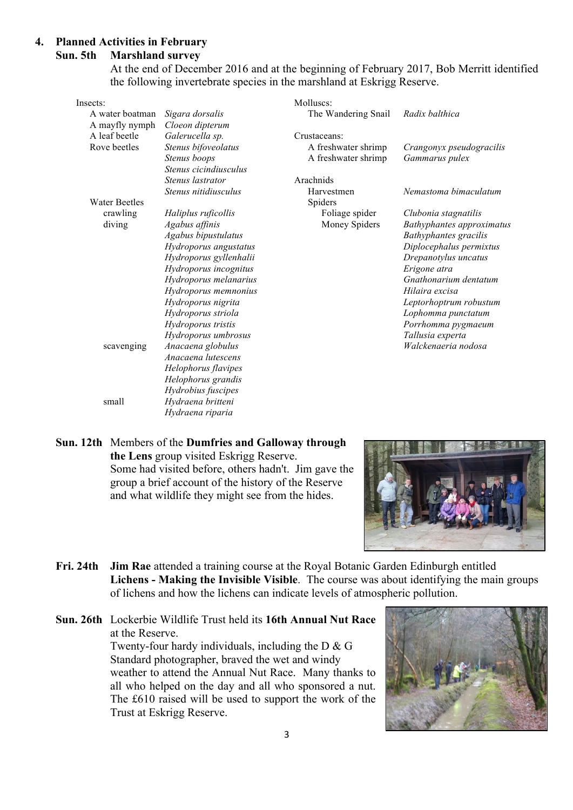#### **4. Planned Activities in February Sun. 5th Marshland survey**

At the end of December 2016 and at the beginning of February 2017, Bob Merritt identified the following invertebrate species in the marshland at Eskrigg Reserve.

| Insects:             |                        | Molluscs:           |                                  |
|----------------------|------------------------|---------------------|----------------------------------|
| A water boatman      | Sigara dorsalis        | The Wandering Snail | Radix balthica                   |
| A mayfly nymph       | Cloeon dipterum        |                     |                                  |
| A leaf beetle        | Galerucella sp.        | Crustaceans:        |                                  |
| Rove beetles         | Stenus bifoveolatus    | A freshwater shrimp | Crangonyx pseudogracilis         |
|                      | Stenus boops           | A freshwater shrimp | Gammarus pulex                   |
|                      | Stenus cicindiusculus  |                     |                                  |
|                      | Stenus lastrator       | Arachnids           |                                  |
|                      | Stenus nitidiusculus   | Harvestmen          | Nemastoma bimaculatum            |
| <b>Water Beetles</b> |                        | Spiders             |                                  |
| crawling             | Haliplus ruficollis    | Foliage spider      | Clubonia stagnatilis             |
| diving               | Agabus affinis         | Money Spiders       | <b>Bathyphantes approximatus</b> |
|                      | Agabus bipustulatus    |                     | <b>Bathyphantes</b> gracilis     |
|                      | Hydroporus angustatus  |                     | Diplocephalus permixtus          |
|                      | Hydroporus gyllenhalii |                     | Drepanotylus uncatus             |
|                      | Hydroporus incognitus  |                     | Erigone atra                     |
|                      | Hydroporus melanarius  |                     | Gnathonarium dentatum            |
|                      | Hydroporus memnonius   |                     | Hilaira excisa                   |
|                      | Hydroporus nigrita     |                     | Leptorhoptrum robustum           |
|                      | Hydroporus striola     |                     | Lophomma punctatum               |
|                      | Hydroporus tristis     |                     | Porrhomma pygmaeum               |
|                      | Hydroporus umbrosus    |                     | Tallusia experta                 |
| scavenging           | Anacaena globulus      |                     | Walckenaeria nodosa              |
|                      | Anacaena lutescens     |                     |                                  |
|                      | Helophorus flavipes    |                     |                                  |
|                      | Helophorus grandis     |                     |                                  |
|                      | Hydrobius fuscipes     |                     |                                  |
| small                | Hydraena britteni      |                     |                                  |
|                      | Hydraena riparia       |                     |                                  |

**Sun. 12th** Members of the **Dumfries and Galloway through the Lens** group visited Eskrigg Reserve. Some had visited before, others hadn't. Jim gave the group a brief account of the history of the Reserve and what wildlife they might see from the hides.



- **Fri. 24th Jim Rae** attended a training course at the Royal Botanic Garden Edinburgh entitled **Lichens - Making the Invisible Visible**. The course was about identifying the main groups of lichens and how the lichens can indicate levels of atmospheric pollution.
- **Sun. 26th** Lockerbie Wildlife Trust held its **16th Annual Nut Race** at the Reserve. Twenty-four hardy individuals, including the D & G Standard photographer, braved the wet and windy weather to attend the Annual Nut Race. Many thanks to all who helped on the day and all who sponsored a nut. The £610 raised will be used to support the work of the Trust at Eskrigg Reserve.